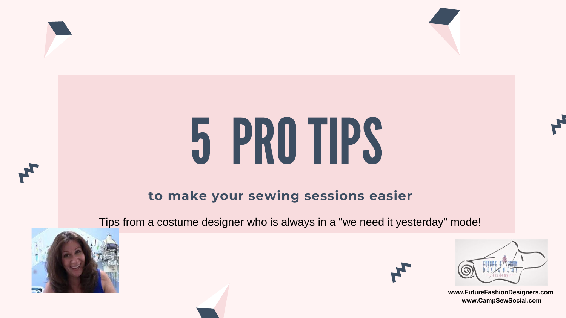### **to make your sewing sessions easier**



# 5 PROTIPS

Tips from a costume designer who is always in a "we need it yesterday" mode!















**www.FutureFashionDesigners.com www.CampSewSocial.com**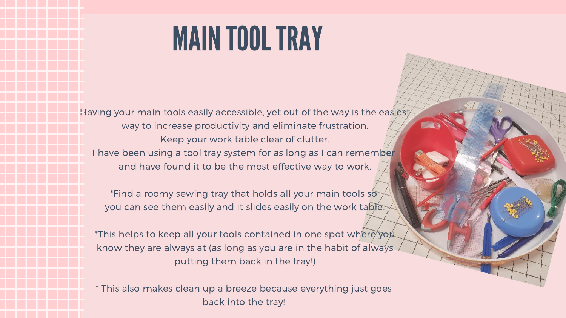Having your main tools easily accessible, yet out of the way is the easiest way to increase productivity and eliminate frustration. Keep your work table clear of clutter.

I have been using a tool tray system for as long as I can remember and have found it to be the most effective way to work.

\*This helps to keep all your tools contained in one spot where you know they are always at (as long as you are in the habit of always putting them back in the tray!)

\*Find a roomy sewing tray that holds all your main tools so you can see them easily and it slides easily on the work table.

\* This also makes clean up a breeze because everything just goes back into the tray!



# MAINTOOLTRAY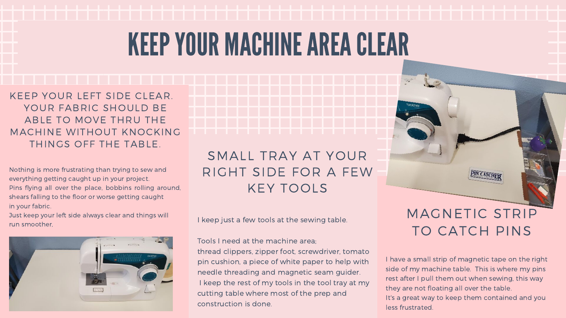# KEEPYOUR MACHINEAREACLEAR

Nothing is more frustrating than trying to sew and everything getting caught up in your project. Pins flying all over the place, bobbins rolling around, shears falling to the floor or worse getting caught in your fabric.

Just keep your left side always clear and things will run smoother,



KEEP YOUR LEFT SIDE CLEAR. YOUR FABRIC SHOULD BE ABLE TO MOVE THRU THE MACHINE WITHOUT KNOCKING THINGS OFF THE TABLE.

I keep just a few tools at the sewing table.

Tools I need at the machine area;

thread clippers, zipper foot, screwdriver, tomato pin cushion, a piece of white paper to help with needle threading and magnetic seam guider. I keep the rest of my tools in the tool tray at my cutting table where most of the prep and construction is done.

### SMALL TRAY AT YOUR RIGHT SIDE FOR A FEW KEY TOOLS

### I have a small strip of magnetic tape on the right side of my machine table. This is where my pins rest after I pull them out when sewing, this way they are not floating all over the table. It's a great way to keep them contained and you less frustrated.

MAGNETIC STRIP

TO CATCH PINS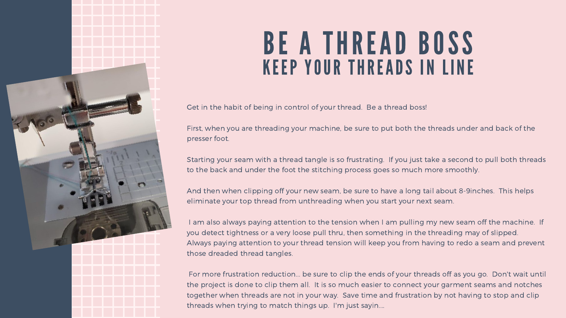Get in the habit of being in control of your thread. Be a thread boss!

First, when you are threading your machine, be sure to put both the threads under and back of the presser foot.

Starting your seam with a thread tangle is so frustrating. If you just take a second to pull both threads to the back and under the foot the stitching process goes so much more smoothly.

I am also always paying attention to the tension when I am pulling my new seam off the machine. If you detect tightness or a very loose pull thru, then something in the threading may of slipped. Always paying attention to your thread tension will keep you from having to redo a seam and prevent those dreaded thread tangles.

And then when clipping off your new seam, be sure to have a long tail about 8-9inches. This helps eliminate your top thread from unthreading when you start your next seam.



### BE A THREAD BOSS KEEP YOUR THREADS IN LINE

For more frustration reduction... be sure to clip the ends of your threads off as you go. Don't wait until the project is done to clip them all. It is so much easier to connect your garment seams and notches together when threads are not in your way. Save time and frustration by not having to stop and clip threads when trying to match things up. I'm just sayin....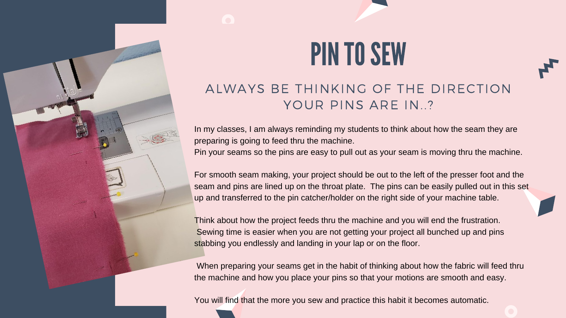# PINTO SEW

### ALWAYS BE THINKING OF THE DIRECTION YOUR PINS ARE IN..?

In my classes, I am always reminding my students to think about how the seam they are preparing is going to feed thru the machine. Pin your seams so the pins are easy to pull out as your seam is moving thru the machine.

For smooth seam making, your project should be out to the left of the presser foot and the seam and pins are lined up on the throat plate. The pins can be easily pulled out in this set up and transferred to the pin catcher/holder on the right side of your machine table.

Think about how the project feeds thru the machine and you will end the frustration. Sewing time is easier when you are not getting your project all bunched up and pins stabbing you endlessly and landing in your lap or on the floor.

When preparing your seams get in the habit of thinking about how the fabric will feed thru the machine and how you place your pins so that your motions are smooth and easy.

You will find that the more you sew and practice this habit it becomes automatic.